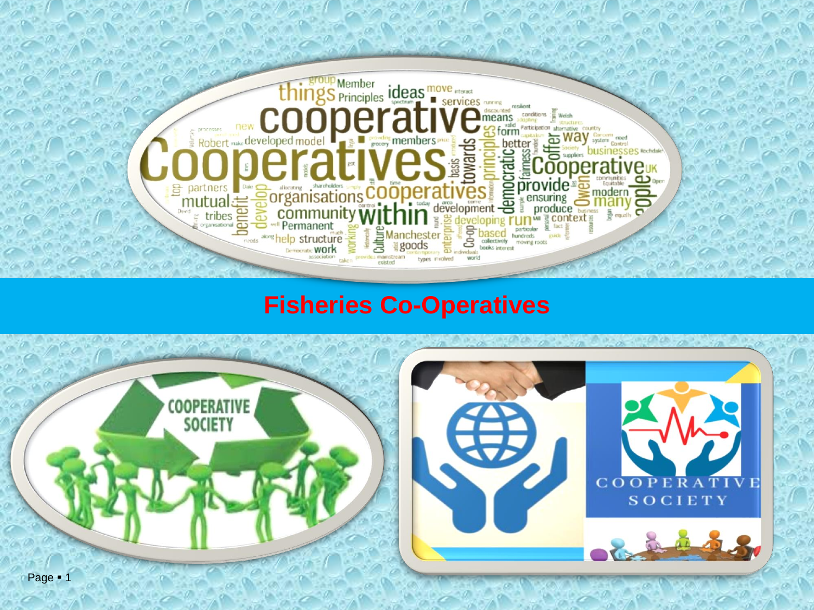

## **Fisheries Co-Operatives**

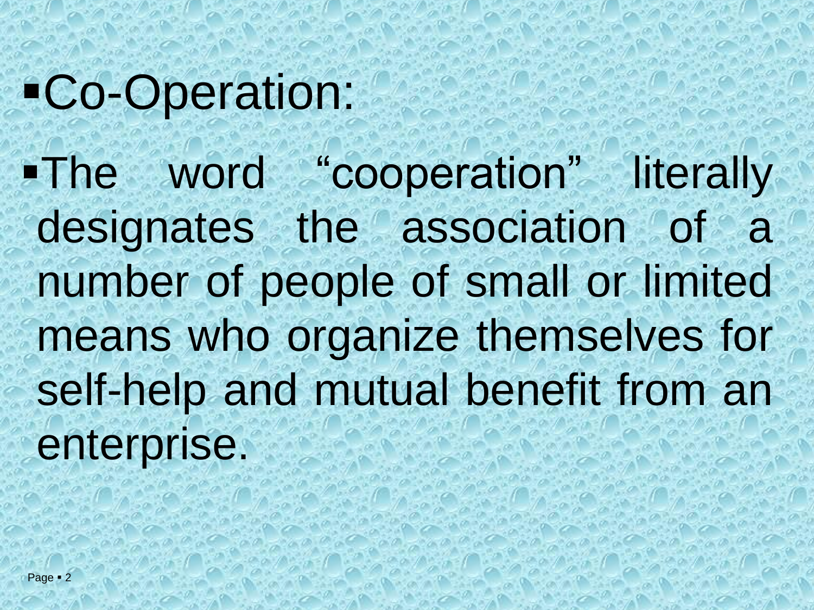# ▪Co-Operation: ▪The word "cooperation" literally designates the association of a number of people of small or limited means who organize themselves for self-help and mutual benefit from an enterprise.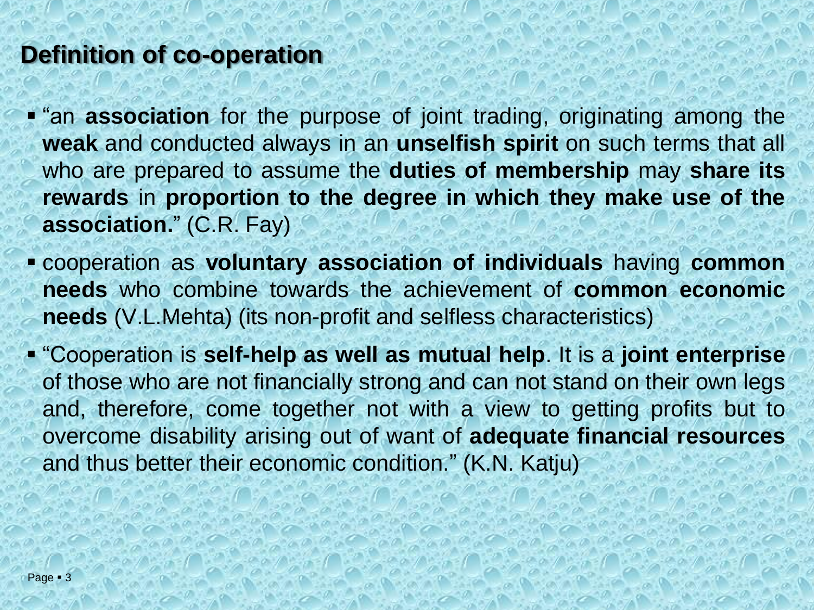## **Definition of co-operation**

**.** "an **association** for the purpose of joint trading, originating among the **weak** and conducted always in an **unselfish spirit** on such terms that all who are prepared to assume the **duties of membership** may **share its rewards** in **proportion to the degree in which they make use of the association.**" (C.R. Fay)

- cooperation as **voluntary association of individuals** having **common needs** who combine towards the achievement of **common economic needs** (V.L.Mehta) (its non-profit and selfless characteristics)
- "Cooperation is **self-help as well as mutual help**. It is a **joint enterprise** of those who are not financially strong and can not stand on their own legs and, therefore, come together not with a view to getting profits but to overcome disability arising out of want of **adequate financial resources** and thus better their economic condition." (K.N. Katju)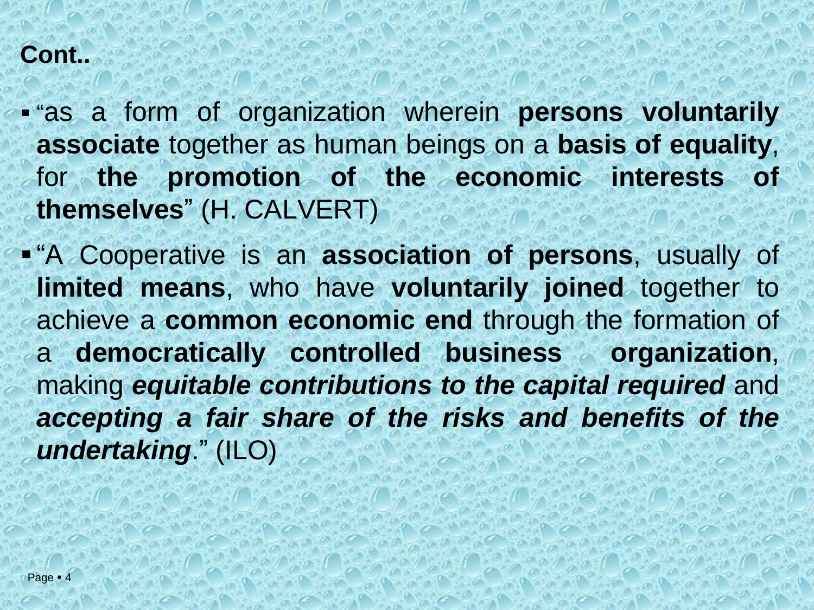#### **Cont..**

▪ "as a form of organization wherein **persons voluntarily associate** together as human beings on a **basis of equality**, for **the promotion of the economic interests of themselves**" (H. CALVERT)

▪ "A Cooperative is an **association of persons**, usually of **limited means**, who have **voluntarily joined** together to achieve a **common economic end** through the formation of a **democratically controlled business organization**, making *equitable contributions to the capital required* and *accepting a fair share of the risks and benefits of the undertaking*." (ILO)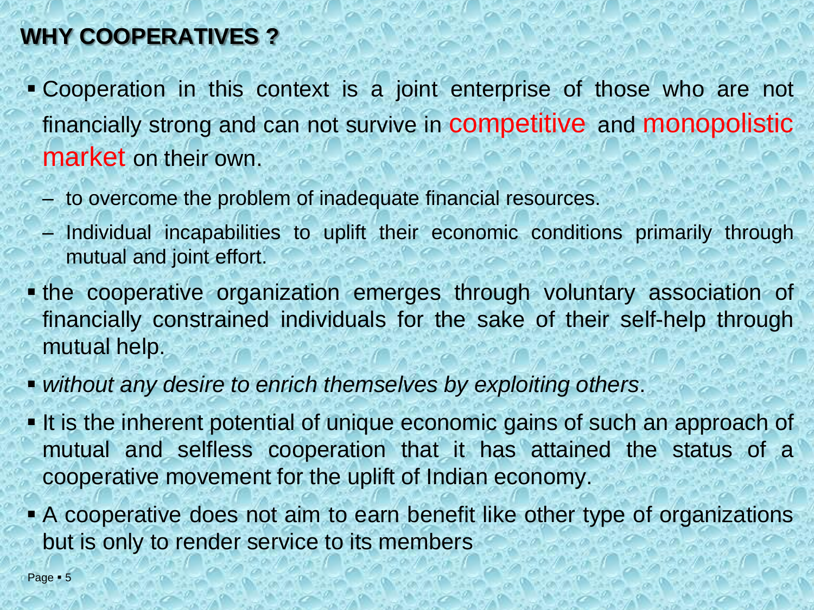## **WHY COOPERATIVES ?**

- Cooperation in this context is a joint enterprise of those who are not financially strong and can not survive in **competitive** and **monopolistic** market on their own.
	- to overcome the problem of inadequate financial resources.
	- Individual incapabilities to uplift their economic conditions primarily through mutual and joint effort.
- **. the cooperative organization emerges through voluntary association of** financially constrained individuals for the sake of their self-help through mutual help.
- *without any desire to enrich themselves by exploiting others*.
- **.** It is the inherent potential of unique economic gains of such an approach of mutual and selfless cooperation that it has attained the status of a cooperative movement for the uplift of Indian economy.
- **A cooperative does not aim to earn benefit like other type of organizations** but is only to render service to its members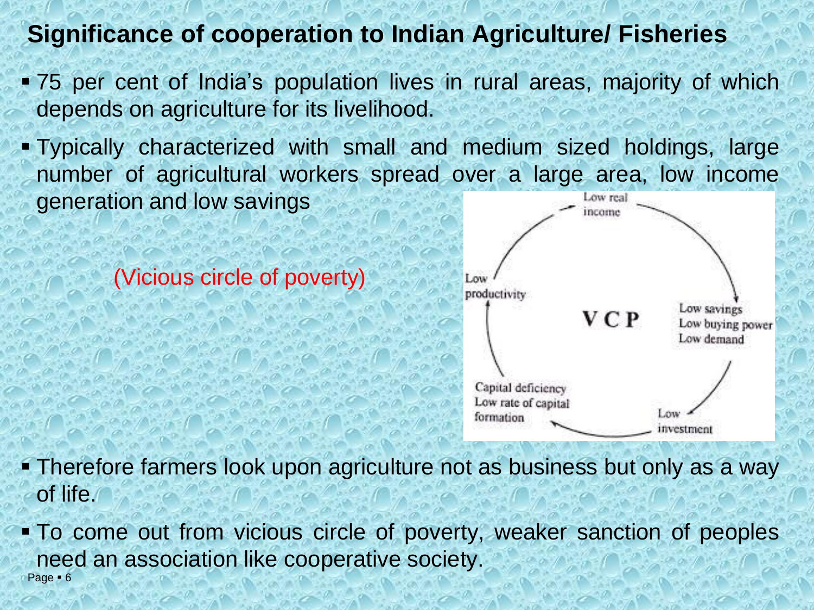## **Significance of cooperation to Indian Agriculture/ Fisheries**

- 75 per cent of India's population lives in rural areas, majority of which depends on agriculture for its livelihood.
- Typically characterized with small and medium sized holdings, large number of agricultural workers spread over a large area, low income generation and low savings Low rea

(Vicious circle of poverty)



- **Therefore farmers look upon agriculture not as business but only as a way** of life.
- Page 6 ▪ To come out from vicious circle of poverty, weaker sanction of peoples need an association like cooperative society.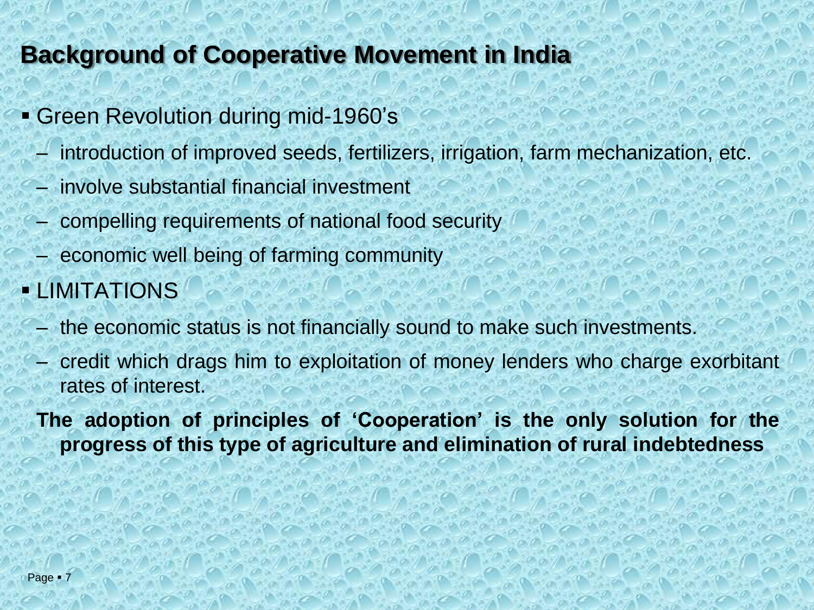## **Background of Cooperative Movement in India**

- Green Revolution during mid-1960's
	- introduction of improved seeds, fertilizers, irrigation, farm mechanization, etc.
	- involve substantial financial investment
	- compelling requirements of national food security
	- economic well being of farming community
- LIMITATIONS
	- the economic status is not financially sound to make such investments.
	- credit which drags him to exploitation of money lenders who charge exorbitant rates of interest.

**The adoption of principles of 'Cooperation' is the only solution for the progress of this type of agriculture and elimination of rural indebtedness**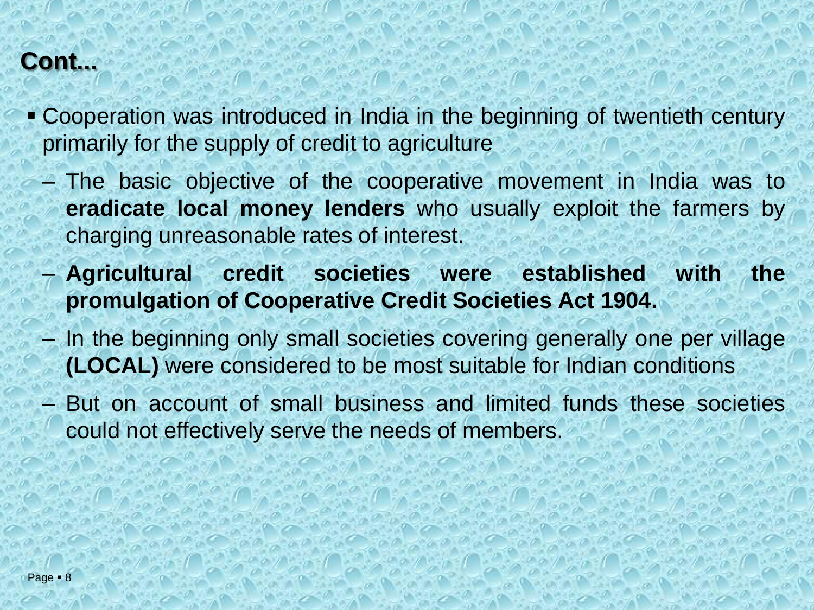## **Cont...**

- Cooperation was introduced in India in the beginning of twentieth century primarily for the supply of credit to agriculture
	- The basic objective of the cooperative movement in India was to **eradicate local money lenders** who usually exploit the farmers by charging unreasonable rates of interest.
	- **Agricultural credit societies were established with the promulgation of Cooperative Credit Societies Act 1904.**
	- In the beginning only small societies covering generally one per village **(LOCAL)** were considered to be most suitable for Indian conditions
	- But on account of small business and limited funds these societies could not effectively serve the needs of members.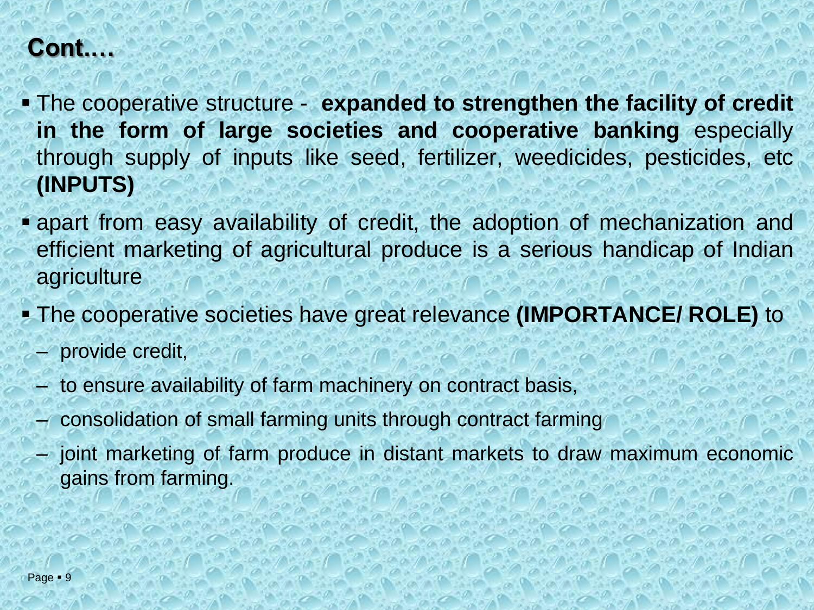## **Cont.…**

- The cooperative structure **expanded to strengthen the facility of credit in the form of large societies and cooperative banking** especially through supply of inputs like seed, fertilizer, weedicides, pesticides, etc **(INPUTS)**
- **Example 1** apart from easy availability of credit, the adoption of mechanization and efficient marketing of agricultural produce is a serious handicap of Indian agriculture
- The cooperative societies have great relevance **(IMPORTANCE/ ROLE)** to
	- provide credit,
	- to ensure availability of farm machinery on contract basis,
	- consolidation of small farming units through contract farming
	- joint marketing of farm produce in distant markets to draw maximum economic gains from farming.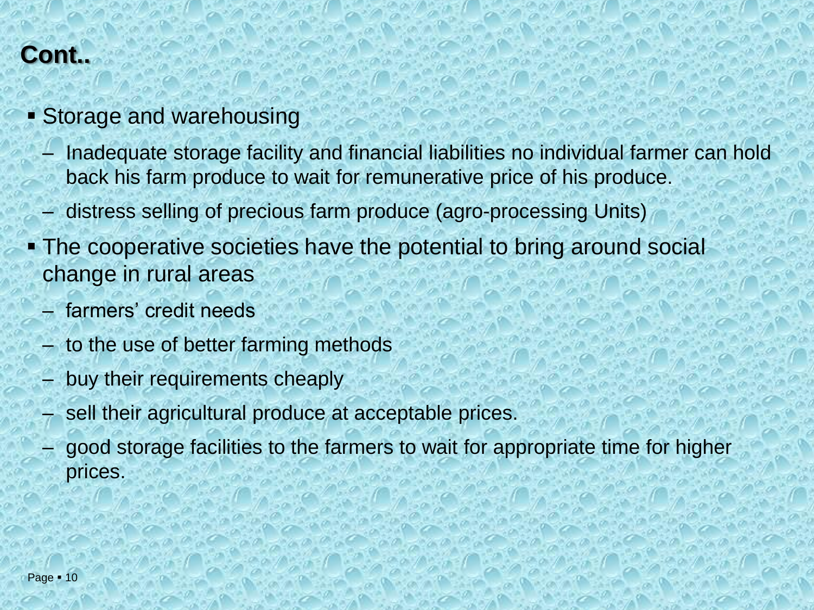## **Cont..**

- **Example 2 Storage and warehousing** 
	- Inadequate storage facility and financial liabilities no individual farmer can hold back his farm produce to wait for remunerative price of his produce.
	- distress selling of precious farm produce (agro-processing Units)
- **The cooperative societies have the potential to bring around social** change in rural areas
	- farmers' credit needs
	- to the use of better farming methods
	- buy their requirements cheaply
	- sell their agricultural produce at acceptable prices.
	- good storage facilities to the farmers to wait for appropriate time for higher prices.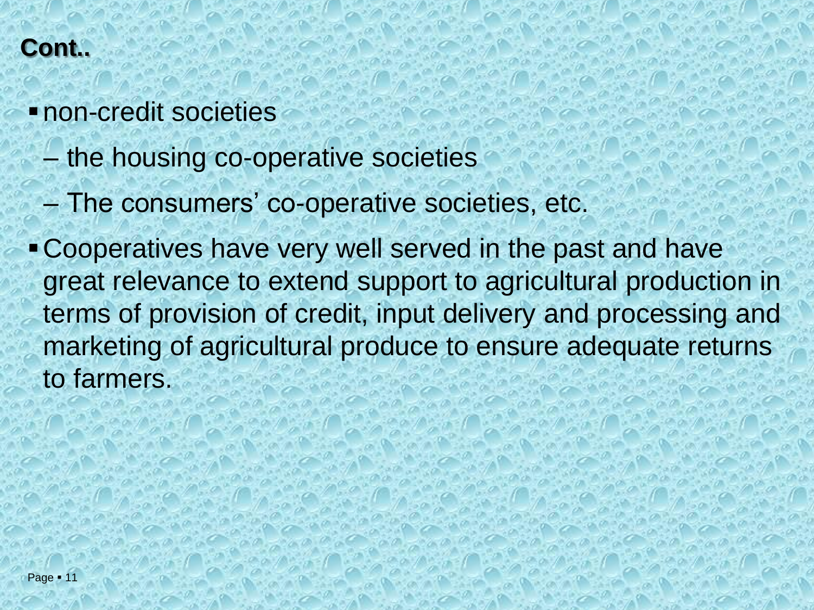## **Cont..**

- ▪non-credit societies
	- the housing co-operative societies
	- The consumers' co-operative societies, etc.
- ▪Cooperatives have very well served in the past and have great relevance to extend support to agricultural production in terms of provision of credit, input delivery and processing and marketing of agricultural produce to ensure adequate returns to farmers.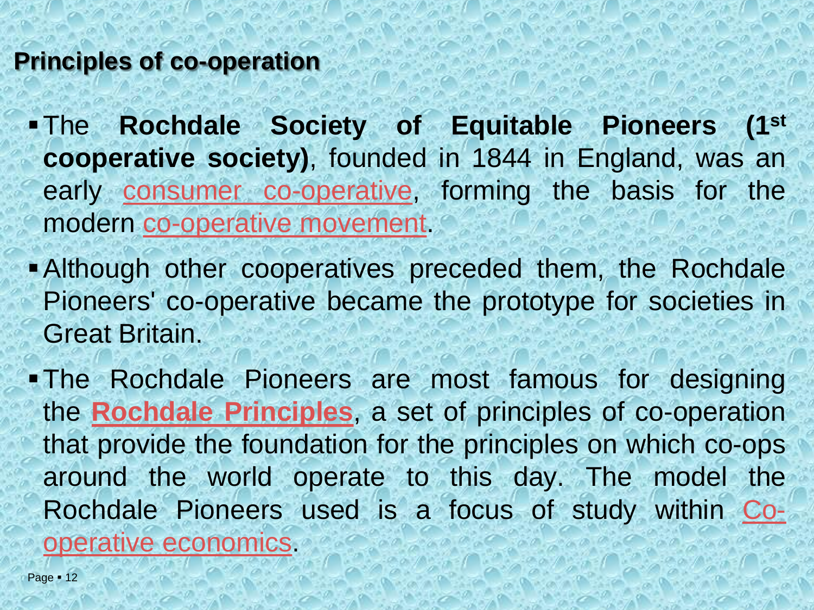#### **Principles of co-operation**

▪The **Rochdale Society of Equitable Pioneers (1 st cooperative society)**, founded in 1844 in England, was an early consumer [co-operative,](http://en.wikipedia.org/wiki/Consumer_co-operative) forming the basis for the modern [co-operative](http://en.wikipedia.org/wiki/Co-operative_movement) movement.

**• Although other cooperatives preceded them, the Rochdale** Pioneers' co-operative became the prototype for societies in Great Britain.

▪The Rochdale Pioneers are most famous for designing the **Rochdale [Principles](http://en.wikipedia.org/wiki/Rochdale_Principles)**, a set of principles of co-operation that provide the foundation for the principles on which co-ops around the world operate to this day. The model the Rochdale Pioneers used is a focus of study within Cooperative [economics.](http://en.wikipedia.org/wiki/Co-operative_economics)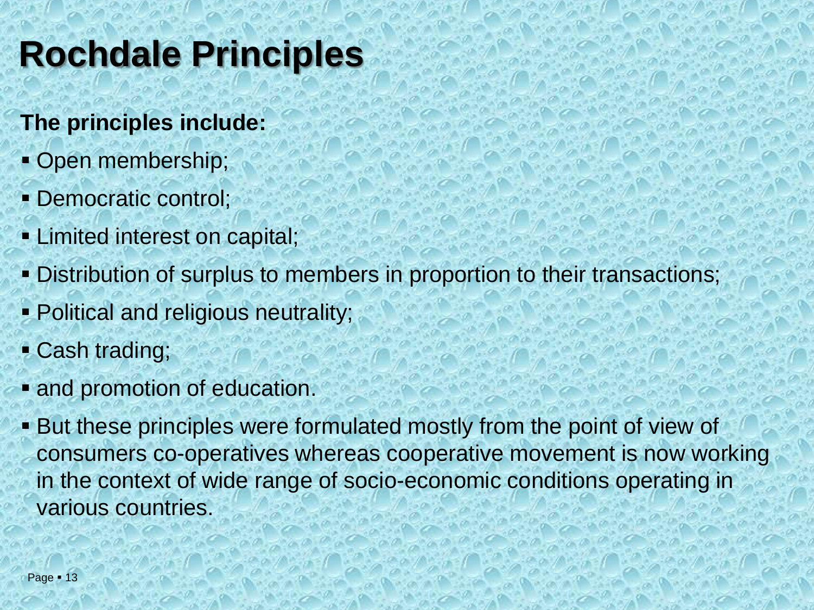## **Rochdale Principles**

### **The principles include:**

- **Open membership;**
- Democratic control;
- **Example 1** Limited interest on capital;
- **Distribution of surplus to members in proportion to their transactions;**
- **Political and religious neutrality;**
- Cash trading;
- **and promotion of education.**
- But these principles were formulated mostly from the point of view of consumers co-operatives whereas cooperative movement is now working in the context of wide range of socio-economic conditions operating in various countries.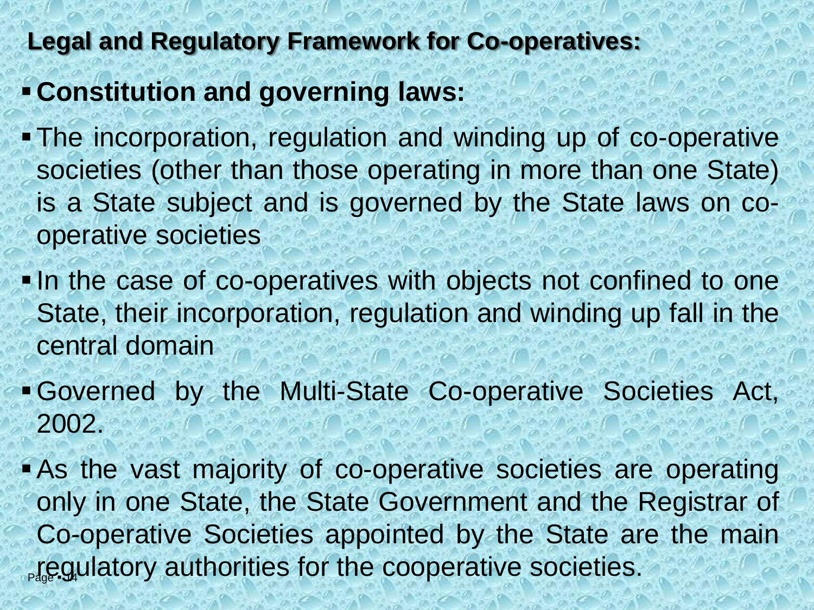## **Legal and Regulatory Framework for Co-operatives:**

- ▪**Constitution and governing laws:**
- The incorporation, regulation and winding up of co-operative societies (other than those operating in more than one State) is a State subject and is governed by the State laws on cooperative societies
- **...** In the case of co-operatives with objects not confined to one State, their incorporation, regulation and winding up fall in the central domain
- ▪Governed by the Multi-State Co-operative Societies Act, 2002.
- **If equilatory authorities for the cooperative societies. -As the vast majority of co-operative societies are operating** only in one State, the State Government and the Registrar of Co-operative Societies appointed by the State are the main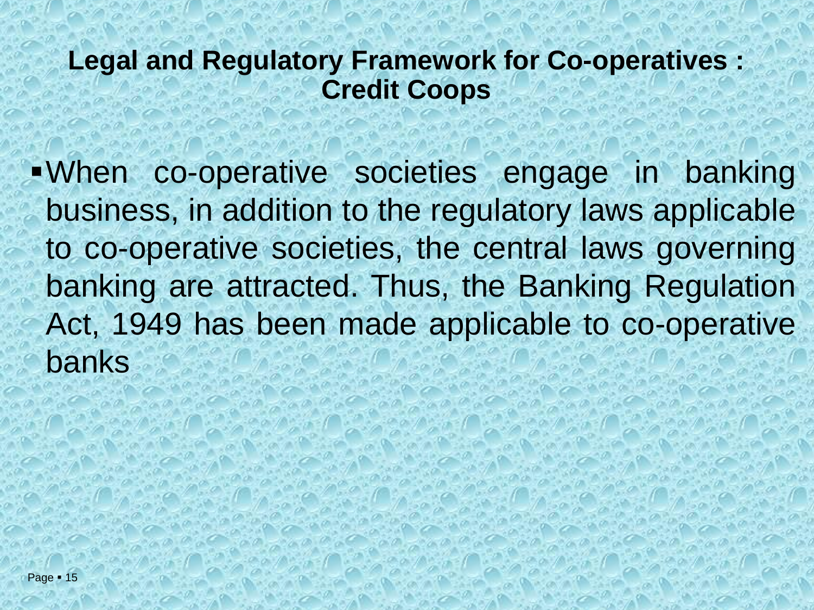## **Legal and Regulatory Framework for Co-operatives : Credit Coops**

▪When co-operative societies engage in banking business, in addition to the regulatory laws applicable to co-operative societies, the central laws governing banking are attracted. Thus, the Banking Regulation Act, 1949 has been made applicable to co-operative banks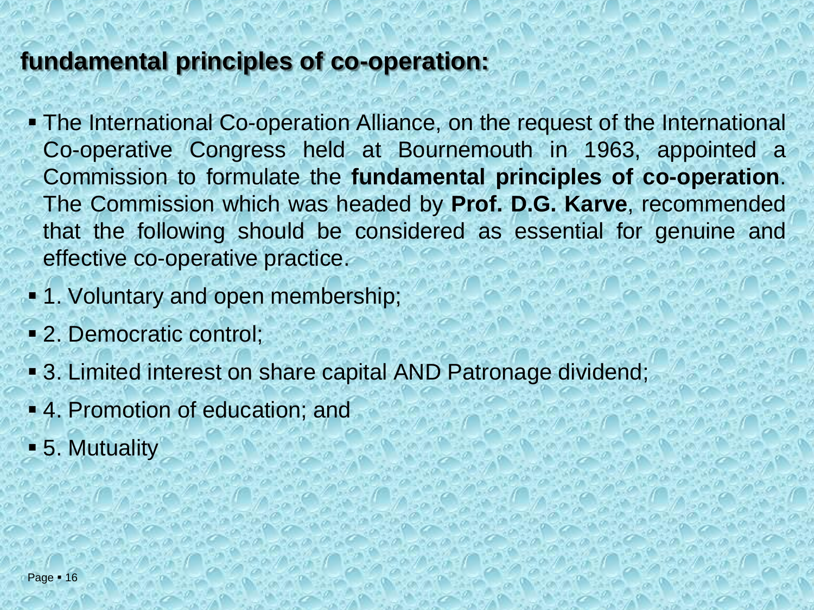#### **fundamental principles of co-operation:**

- **The International Co-operation Alliance, on the request of the International** Co-operative Congress held at Bournemouth in 1963, appointed a Commission to formulate the **fundamental principles of co-operation**. The Commission which was headed by **Prof. D.G. Karve**, recommended that the following should be considered as essential for genuine and effective co-operative practice.
- **1. Voluntary and open membership;**
- 2. Democratic control;
- **3. Limited interest on share capital AND Patronage dividend;**
- 4. Promotion of education; and
- **-5. Mutuality**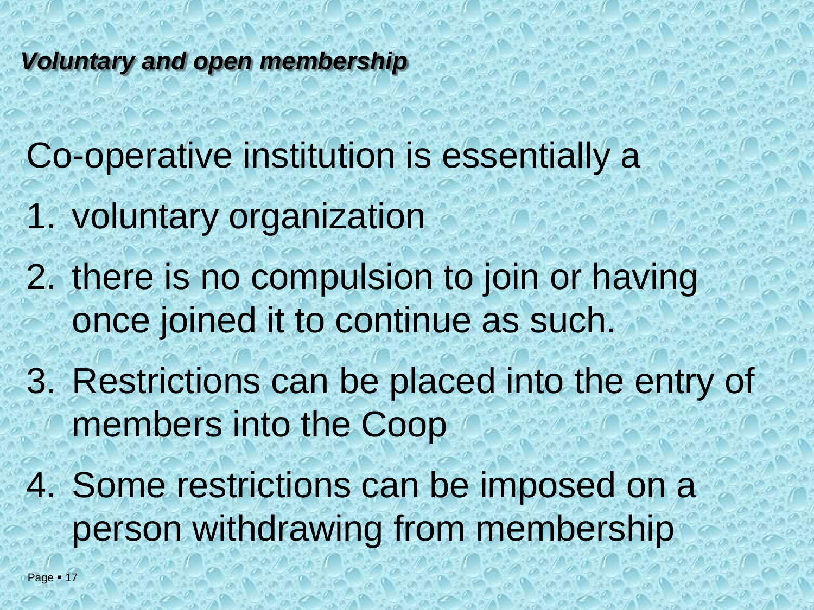#### *Voluntary and open membership*

Co-operative institution is essentially a

- 1. voluntary organization
- 2. there is no compulsion to join or having once joined it to continue as such.
- 3. Restrictions can be placed into the entry of members into the Coop
- 4. Some restrictions can be imposed on a person withdrawing from membership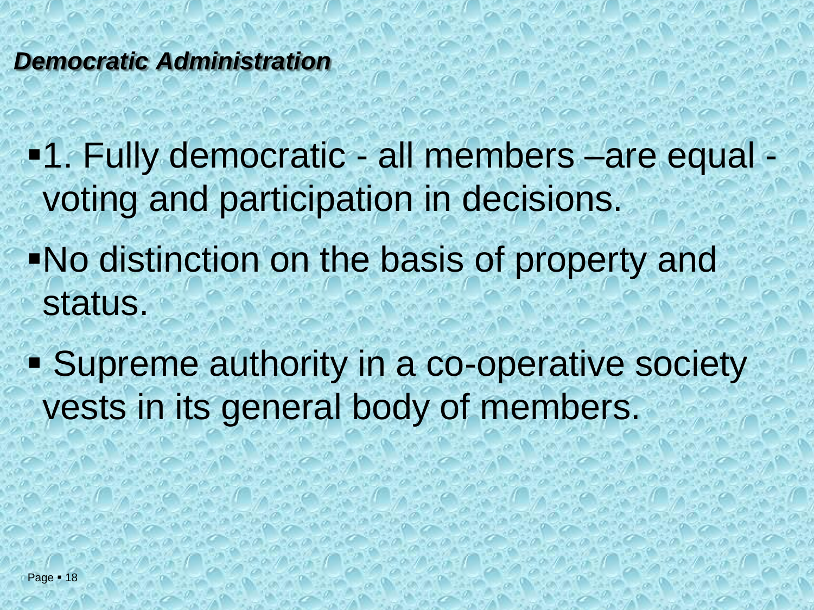#### *Democratic Administration*

▪1. Fully democratic - all members –are equal voting and participation in decisions.

- ▪No distinction on the basis of property and status.
- Supreme authority in a co-operative society vests in its general body of members.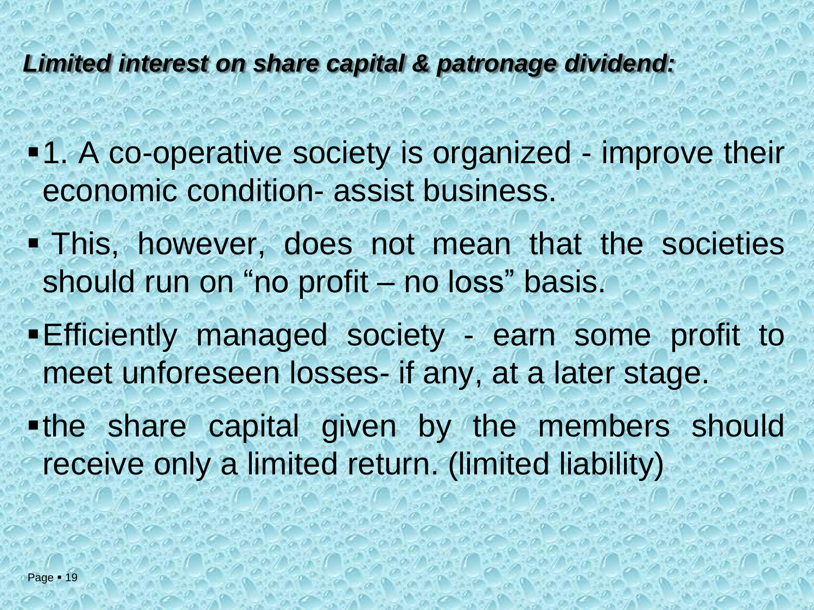#### *Limited interest on share capital & patronage dividend:*

- **•1.** A co-operative society is organized improve their economic condition- assist business.
- **. This, however, does not mean that the societies** should run on "no profit – no loss" basis.
- **Efficiently managed society earn some profit to** meet unforeseen losses- if any, at a later stage.
- .the share capital given by the members should receive only a limited return. (limited liability)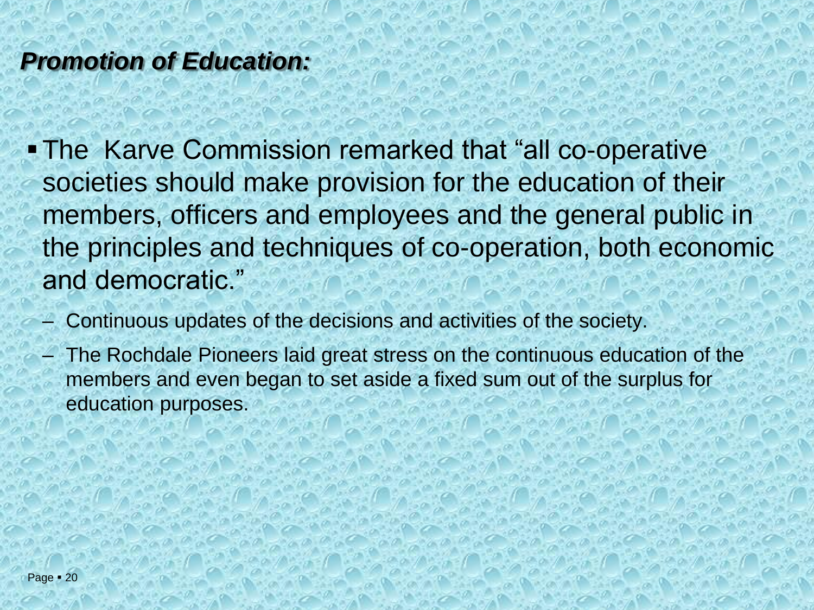## *Promotion of Education:*

- The Karve Commission remarked that "all co-operative" societies should make provision for the education of their members, officers and employees and the general public in the principles and techniques of co-operation, both economic and democratic."
	- Continuous updates of the decisions and activities of the society.
	- The Rochdale Pioneers laid great stress on the continuous education of the members and even began to set aside a fixed sum out of the surplus for education purposes.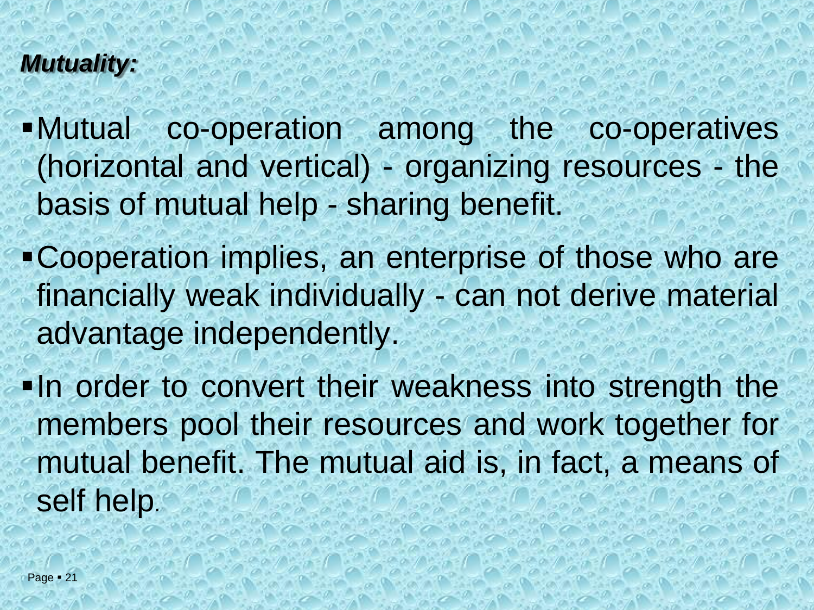## *Mutuality:*

▪Mutual co-operation among the co-operatives (horizontal and vertical) - organizing resources - the basis of mutual help - sharing benefit.

- ▪Cooperation implies, an enterprise of those who are financially weak individually - can not derive material advantage independently.
- **...** In order to convert their weakness into strength the members pool their resources and work together for mutual benefit. The mutual aid is, in fact, a means of self help.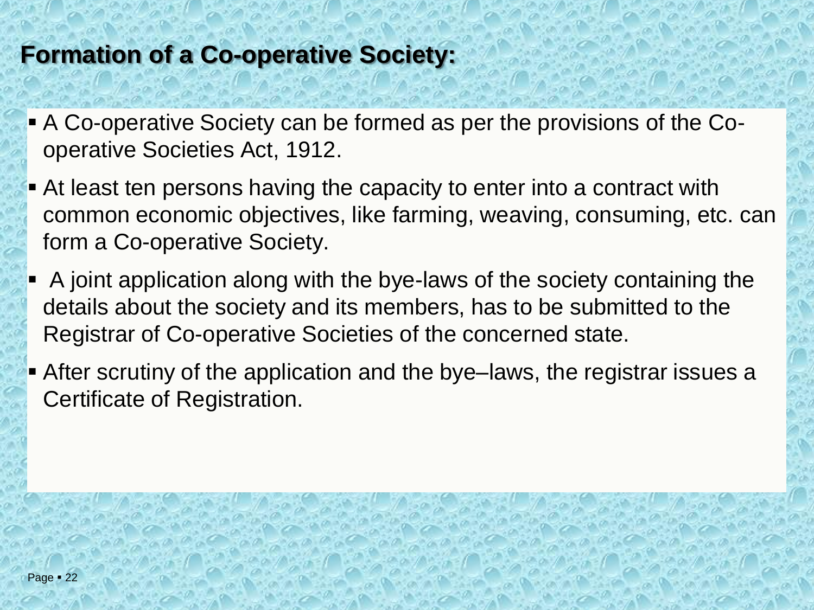## **Formation of a Co-operative Society:**

- A Co-operative Society can be formed as per the provisions of the Cooperative Societies Act, 1912.
- **At least ten persons having the capacity to enter into a contract with** common economic objectives, like farming, weaving, consuming, etc. can form a Co-operative Society.
- $\blacksquare$  A joint application along with the bye-laws of the society containing the details about the society and its members, has to be submitted to the Registrar of Co-operative Societies of the concerned state.
- **E** After scrutiny of the application and the bye–laws, the registrar issues a Certificate of Registration.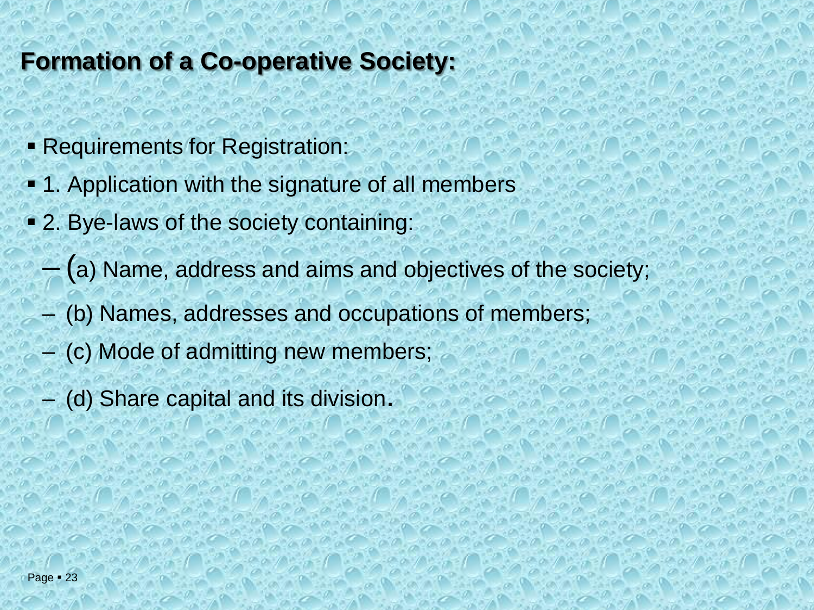## **Formation of a Co-operative Society:**

- **Requirements for Registration:**
- **1. Application with the signature of all members**
- 2. Bye-laws of the society containing:
	- (a) Name, address and aims and objectives of the society;
	- (b) Names, addresses and occupations of members;
	- (c) Mode of admitting new members;
	- (d) Share capital and its division.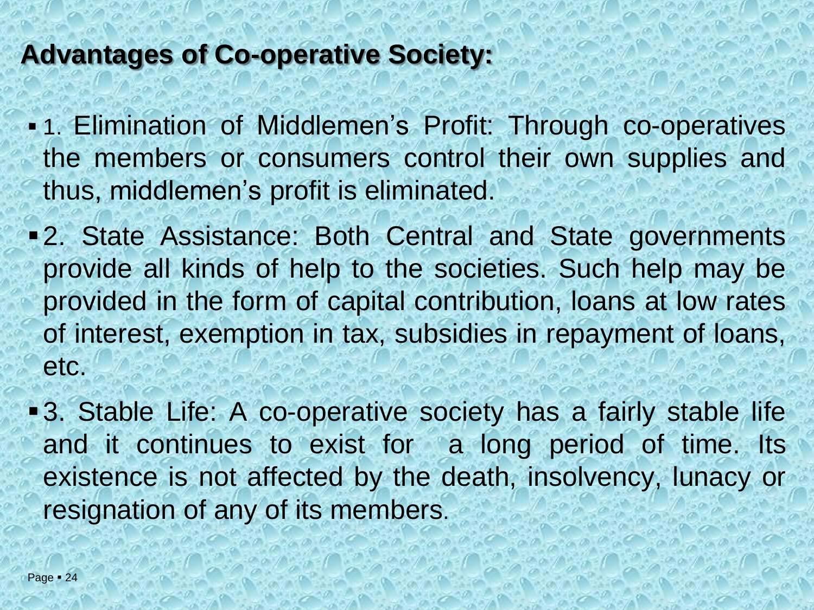## **Advantages of Co-operative Society:**

- **.** 1. Elimination of Middlemen's Profit: Through co-operatives the members or consumers control their own supplies and thus, middlemen's profit is eliminated.
- ▪2. State Assistance: Both Central and State governments provide all kinds of help to the societies. Such help may be provided in the form of capital contribution, loans at low rates of interest, exemption in tax, subsidies in repayment of loans, etc.
- 3. Stable Life: A co-operative society has a fairly stable life and it continues to exist for a long period of time. Its existence is not affected by the death, insolvency, lunacy or resignation of any of its members.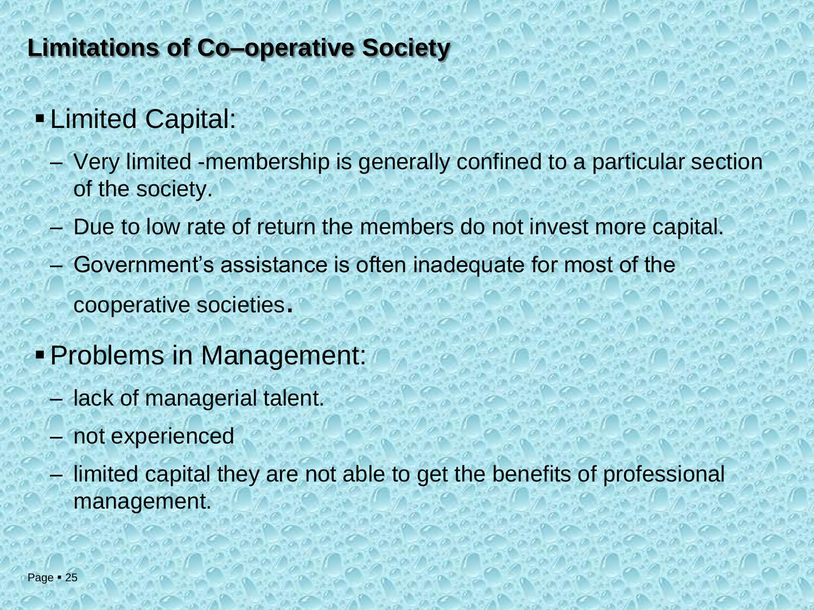## **Limitations of Co–operative Society**

## **ELimited Capital:**

- Very limited -membership is generally confined to a particular section of the society.
- Due to low rate of return the members do not invest more capital.
- Government's assistance is often inadequate for most of the cooperative societies.
- ▪Problems in Management:
	- lack of managerial talent.
	- not experienced
	- limited capital they are not able to get the benefits of professional management.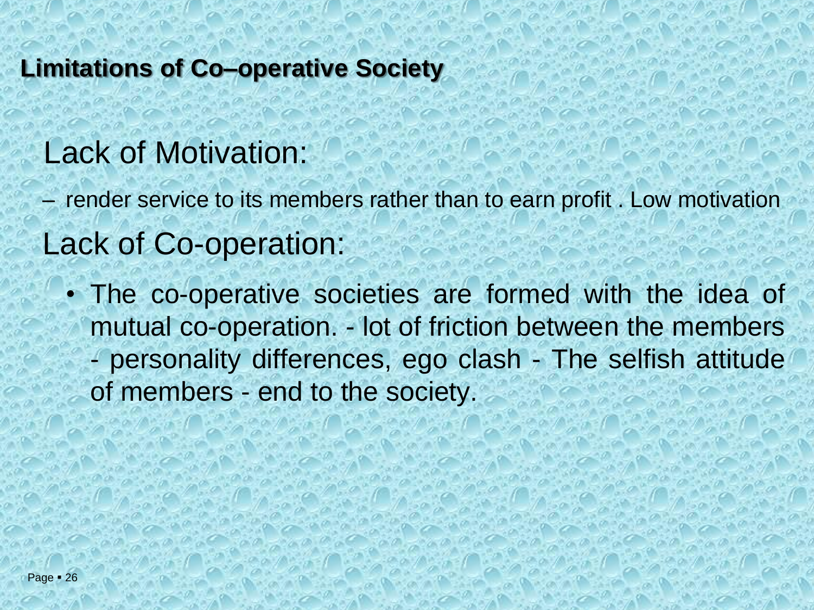#### **Limitations of Co–operative Society**

## Lack of Motivation:

– render service to its members rather than to earn profit . Low motivation Lack of Co-operation:

• The co-operative societies are formed with the idea of mutual co-operation. - lot of friction between the members - personality differences, ego clash - The selfish attitude of members - end to the society.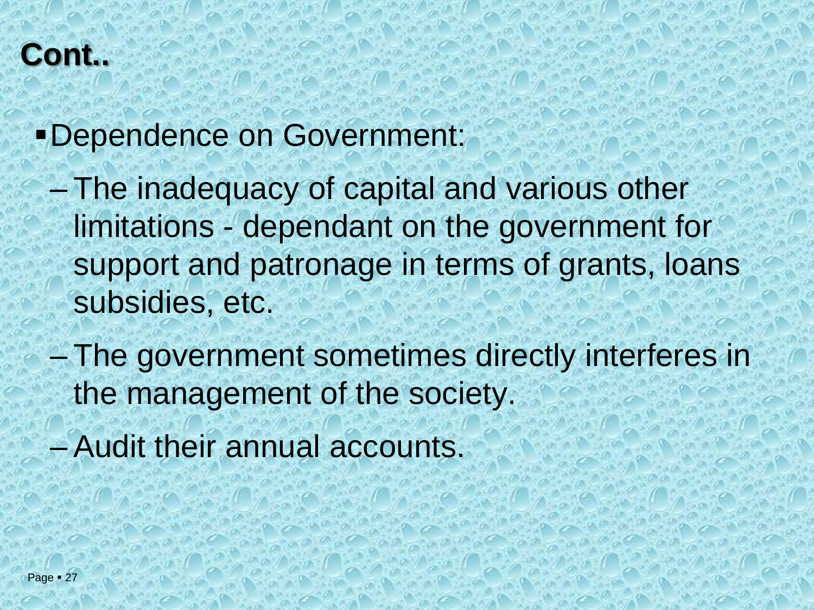## **Cont..**

▪Dependence on Government:

- The inadequacy of capital and various other limitations - dependant on the government for support and patronage in terms of grants, loans subsidies, etc.
- The government sometimes directly interferes in the management of the society.
- Audit their annual accounts.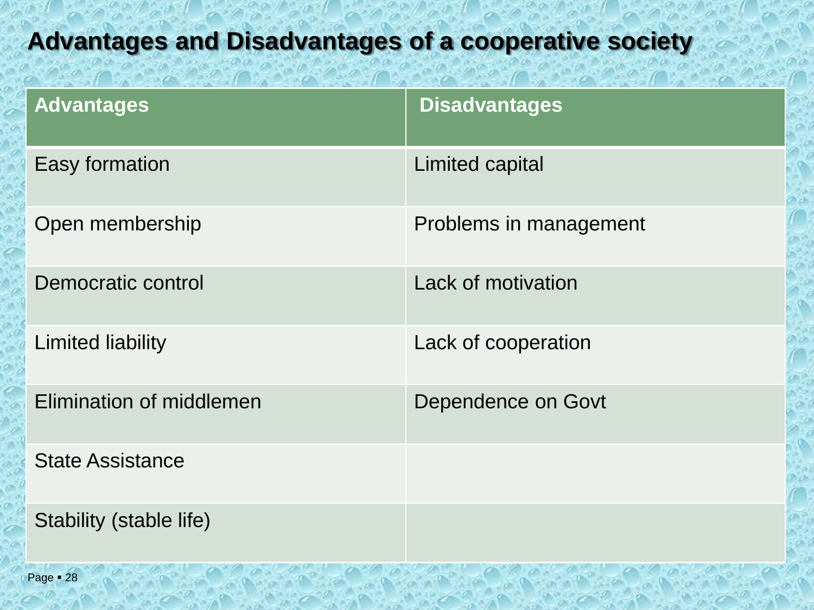## **Advantages and Disadvantages of a cooperative society**

| <b>Advantages</b>        | <b>Disadvantages</b>      |
|--------------------------|---------------------------|
| Easy formation           | Limited capital           |
| Open membership          | Problems in management    |
| Democratic control       | <b>Lack of motivation</b> |
| Limited liability        | Lack of cooperation       |
| Elimination of middlemen | Dependence on Govt        |
| <b>State Assistance</b>  |                           |
| Stability (stable life)  |                           |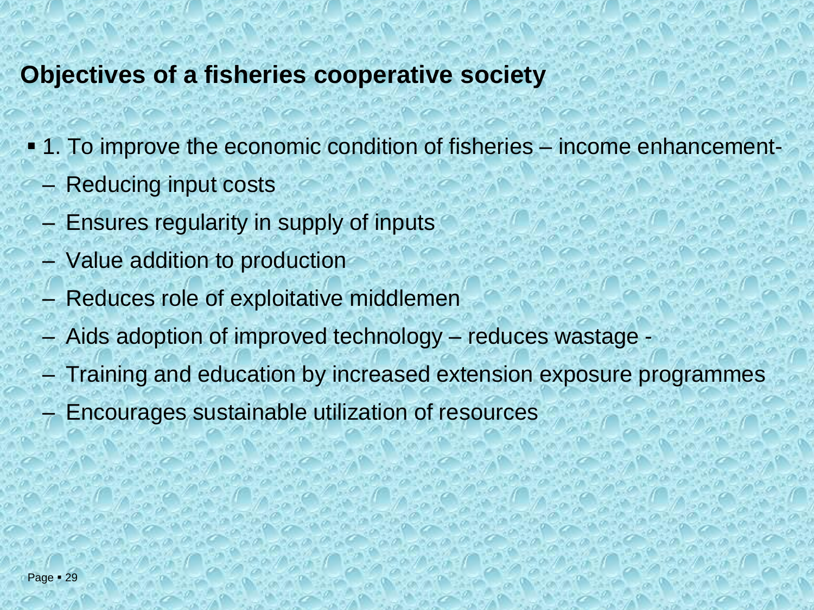#### **Objectives of a fisheries cooperative society**

- 1. To improve the economic condition of fisheries income enhancement-
	- Reducing input costs
	- Ensures regularity in supply of inputs
	- Value addition to production
	- Reduces role of exploitative middlemen
	- Aids adoption of improved technology reduces wastage -
	- Training and education by increased extension exposure programmes
	- Encourages sustainable utilization of resources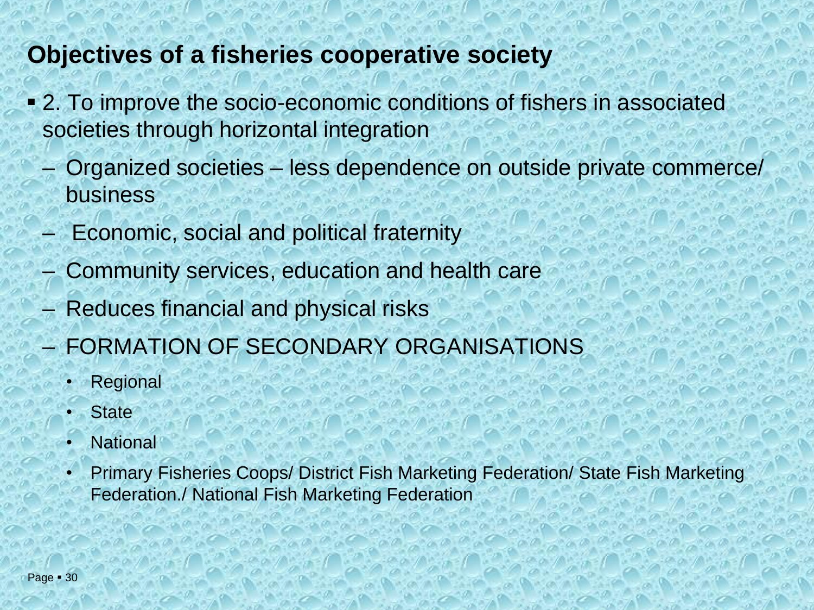### **Objectives of a fisheries cooperative society**

- 2. To improve the socio-economic conditions of fishers in associated societies through horizontal integration
	- Organized societies less dependence on outside private commerce/ business
	- Economic, social and political fraternity
	- Community services, education and health care
	- Reduces financial and physical risks
	- FORMATION OF SECONDARY ORGANISATIONS
		- **Regional**
		- **State**
		- **National**
		- Primary Fisheries Coops/ District Fish Marketing Federation/ State Fish Marketing Federation./ National Fish Marketing Federation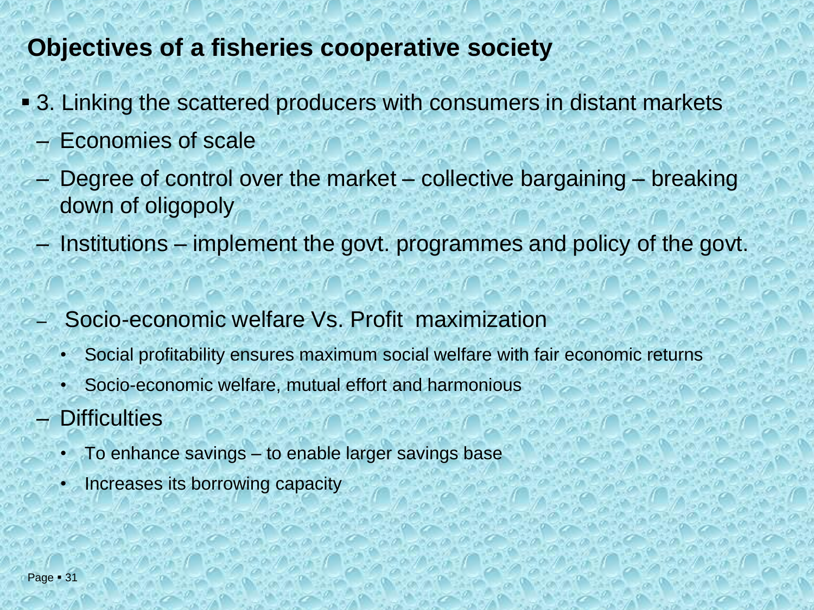### **Objectives of a fisheries cooperative society**

- 3. Linking the scattered producers with consumers in distant markets
	- Economies of scale
	- Degree of control over the market collective bargaining breaking down of oligopoly
	- Institutions implement the govt. programmes and policy of the govt.
	- Socio-economic welfare Vs. Profit maximization
		- Social profitability ensures maximum social welfare with fair economic returns
		- Socio-economic welfare, mutual effort and harmonious
	- **Difficulties** 
		- To enhance savings to enable larger savings base
		- Increases its borrowing capacity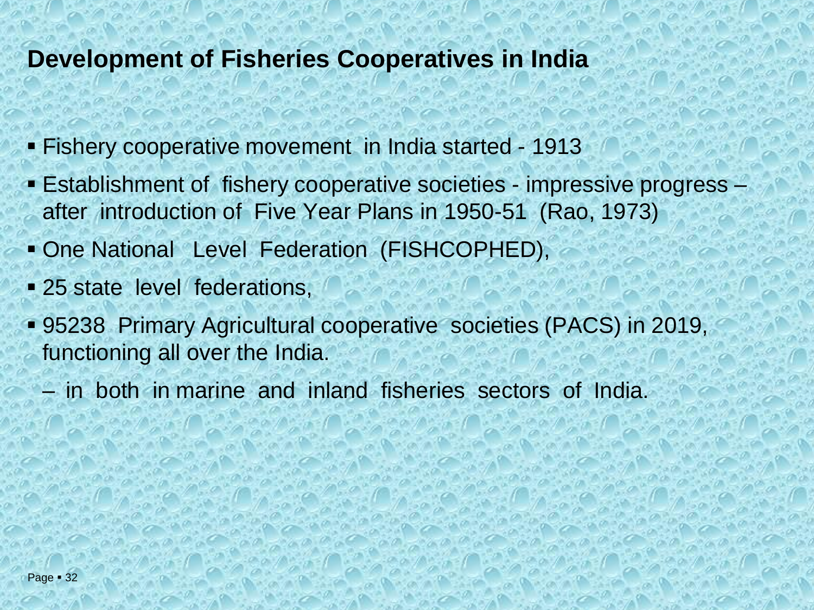#### **Development of Fisheries Cooperatives in India**

- Fishery cooperative movement in India started 1913
- Establishment of fishery cooperative societies impressive progress after introduction of Five Year Plans in 1950-51 (Rao, 1973)
- One National Level Federation (FISHCOPHED),
- **E** 25 state level federations,
- 95238 Primary Agricultural cooperative societies (PACS) in 2019, functioning all over the India.
	- in both in marine and inland fisheries sectors of India.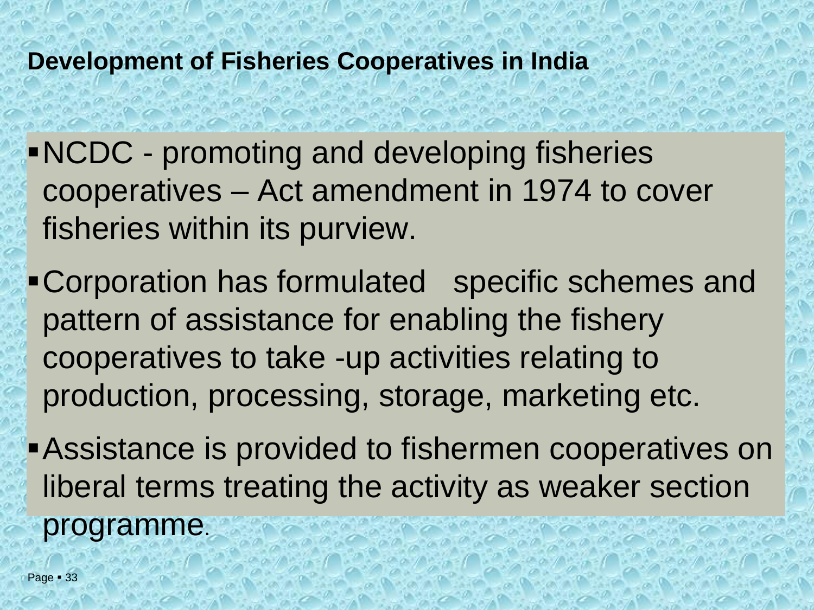## **Development of Fisheries Cooperatives in India**

▪NCDC - promoting and developing fisheries cooperatives – Act amendment in 1974 to cover fisheries within its purview.

▪Corporation has formulated specific schemes and pattern of assistance for enabling the fishery cooperatives to take -up activities relating to production, processing, storage, marketing etc.

**Assistance is provided to fishermen cooperatives on** liberal terms treating the activity as weaker section programme.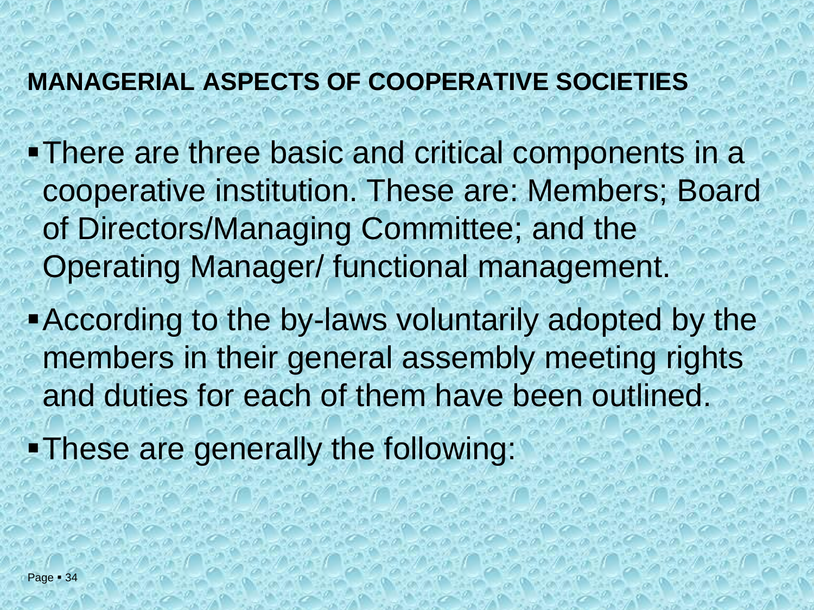### **MANAGERIAL ASPECTS OF COOPERATIVE SOCIETIES**

- There are three basic and critical components in a cooperative institution. These are: Members; Board of Directors/Managing Committee; and the Operating Manager/ functional management.
- **According to the by-laws voluntarily adopted by the** members in their general assembly meeting rights and duties for each of them have been outlined.
- ▪These are generally the following: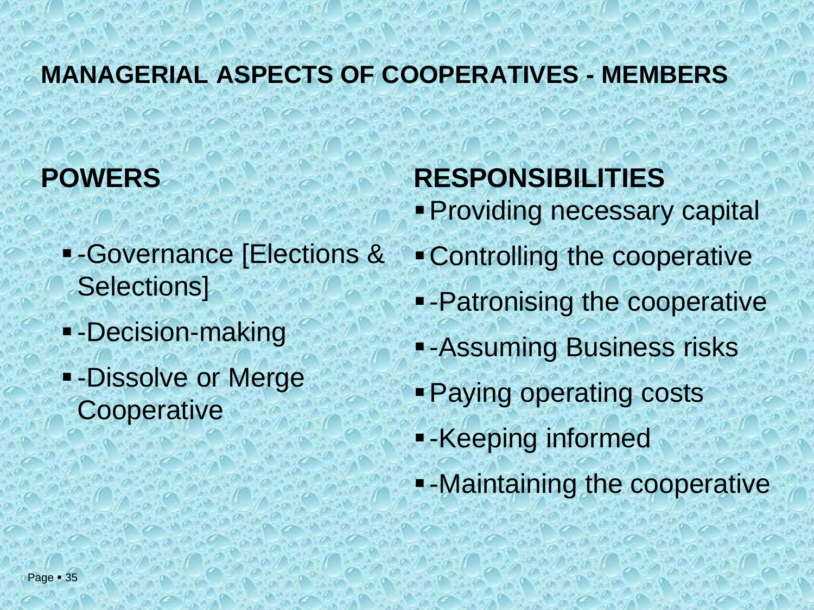## **MANAGERIAL ASPECTS OF COOPERATIVES - MEMBERS**

## **POWERS**

- **E-Governance [Elections &** Selections]
- **-** -Decision-making
- **-Dissolve or Merge Cooperative**

## **RESPONSIBILITIES**

- **Providing necessary capital**
- ▪Controlling the cooperative
- -Patronising the cooperative
- **- Assuming Business risks**
- **Paying operating costs**
- -Keeping informed
- **.** -Maintaining the cooperative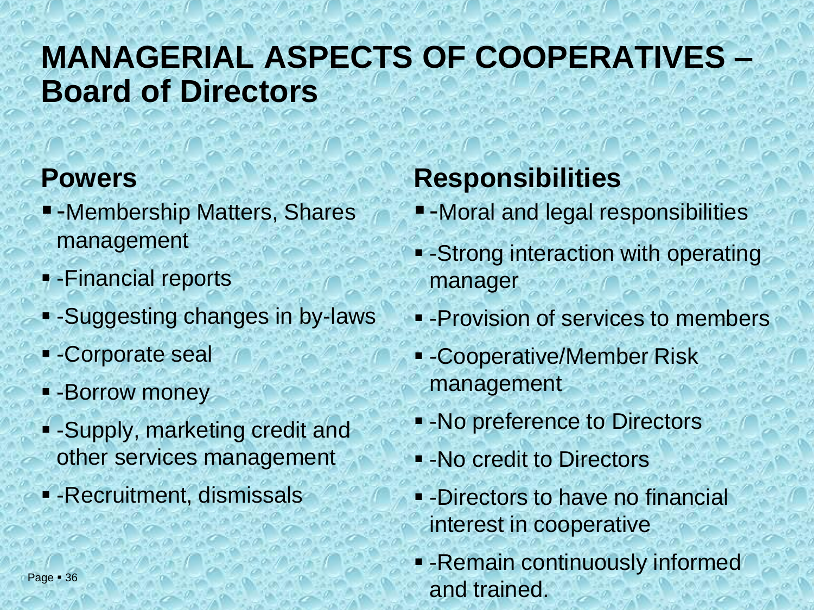## **MANAGERIAL ASPECTS OF COOPERATIVES – Board of Directors**

## **Powers**

- -Membership Matters, Shares management
- -Financial reports
- -Suggesting changes in by-laws
- -Corporate seal
- -Borrow money
- -Supply, marketing credit and other services management
- **-** -Recruitment, dismissals

## **Responsibilities**

- -Moral and legal responsibilities
- **-Strong interaction with operating** manager
- **-Provision of services to members**
- -Cooperative/Member Risk management
- -No preference to Directors
- -No credit to Directors
- **E**-Directors to have no financial interest in cooperative
- -Remain continuously informed and trained.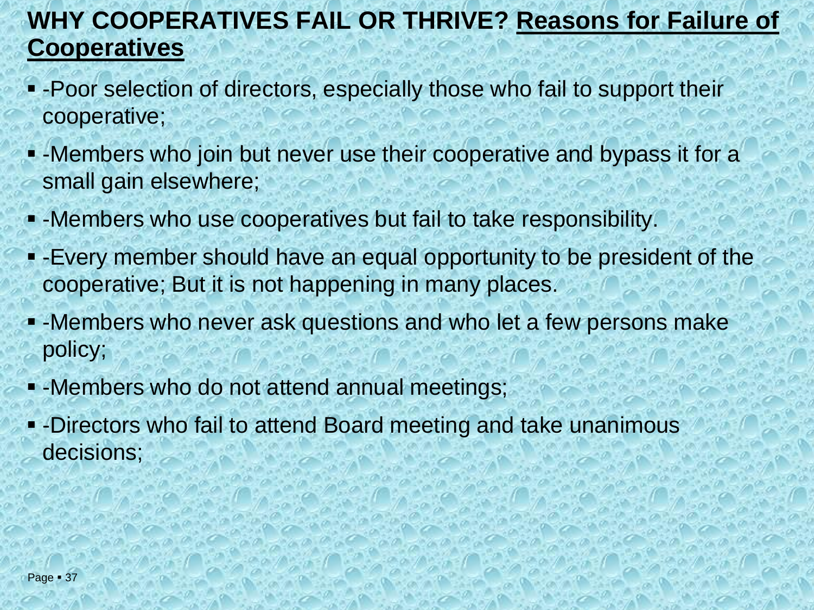## **WHY COOPERATIVES FAIL OR THRIVE? Reasons for Failure of Cooperatives**

- -Poor selection of directors, especially those who fail to support their cooperative;
- -Members who join but never use their cooperative and bypass it for a small gain elsewhere;
- -Members who use cooperatives but fail to take responsibility.
- -Every member should have an equal opportunity to be president of the cooperative; But it is not happening in many places.
- -Members who never ask questions and who let a few persons make policy;
- -Members who do not attend annual meetings;
- -Directors who fail to attend Board meeting and take unanimous decisions;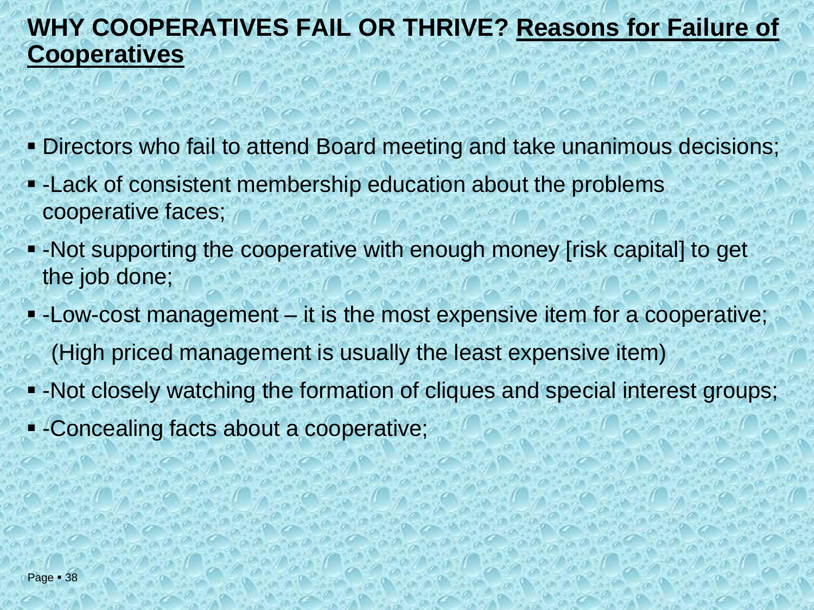## **WHY COOPERATIVES FAIL OR THRIVE? Reasons for Failure of Cooperatives**

- **Directors who fail to attend Board meeting and take unanimous decisions;**
- -Lack of consistent membership education about the problems cooperative faces;
- -Not supporting the cooperative with enough money [risk capital] to get the job done;
- -Low-cost management it is the most expensive item for a cooperative; (High priced management is usually the least expensive item)
- -Not closely watching the formation of cliques and special interest groups;
- -Concealing facts about a cooperative;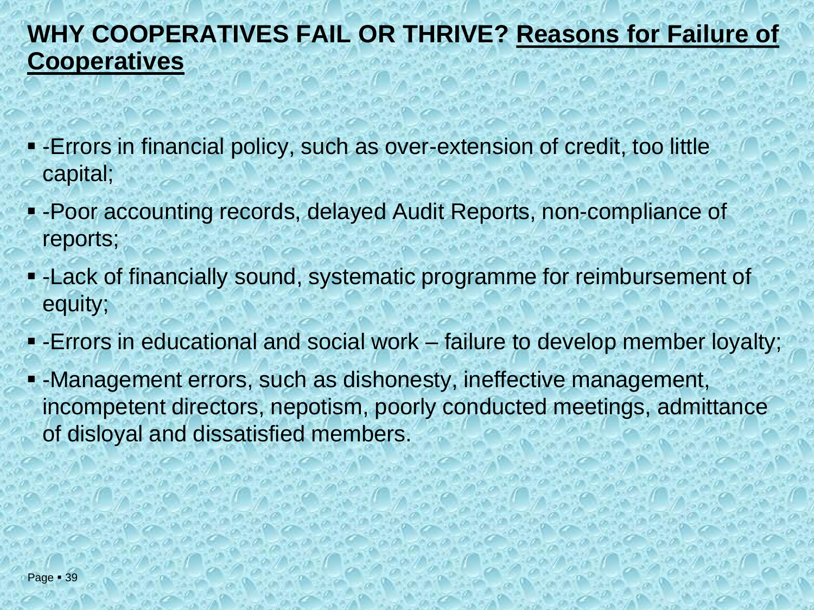## **WHY COOPERATIVES FAIL OR THRIVE? Reasons for Failure of Cooperatives**

- -Errors in financial policy, such as over-extension of credit, too little capital;
- **Poor accounting records, delayed Audit Reports, non-compliance of** reports;
- -Lack of financially sound, systematic programme for reimbursement of equity;
- **-** Errors in educational and social work failure to develop member loyalty;
- -Management errors, such as dishonesty, ineffective management, incompetent directors, nepotism, poorly conducted meetings, admittance of disloyal and dissatisfied members.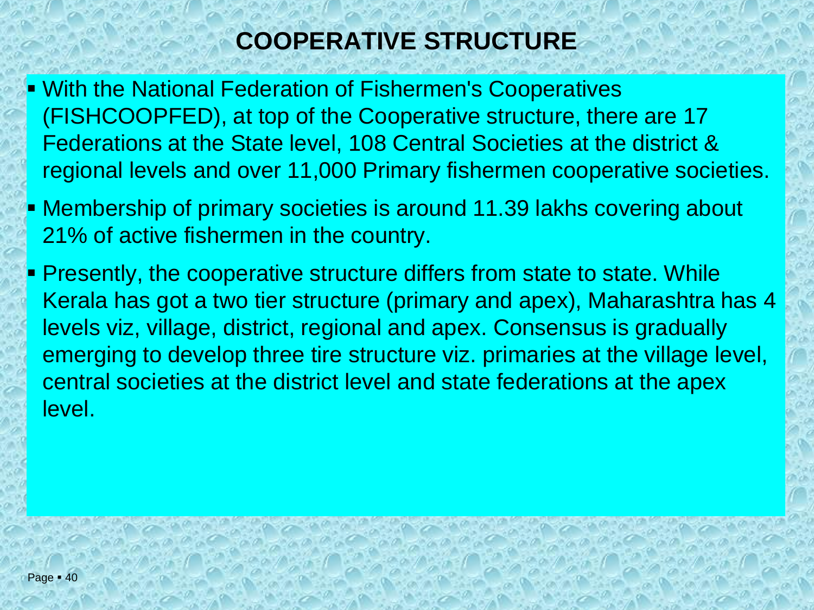## **COOPERATIVE STRUCTURE**

- **E** With the National Federation of Fishermen's Cooperatives (FISHCOOPFED), at top of the Cooperative structure, there are 17 Federations at the State level, 108 Central Societies at the district & regional levels and over 11,000 Primary fishermen cooperative societies.
- **EXT** Membership of primary societies is around 11.39 lakhs covering about 21% of active fishermen in the country.
- **Presently, the cooperative structure differs from state to state. While** Kerala has got a two tier structure (primary and apex), Maharashtra has 4 levels viz, village, district, regional and apex. Consensus is gradually emerging to develop three tire structure viz. primaries at the village level, central societies at the district level and state federations at the apex level.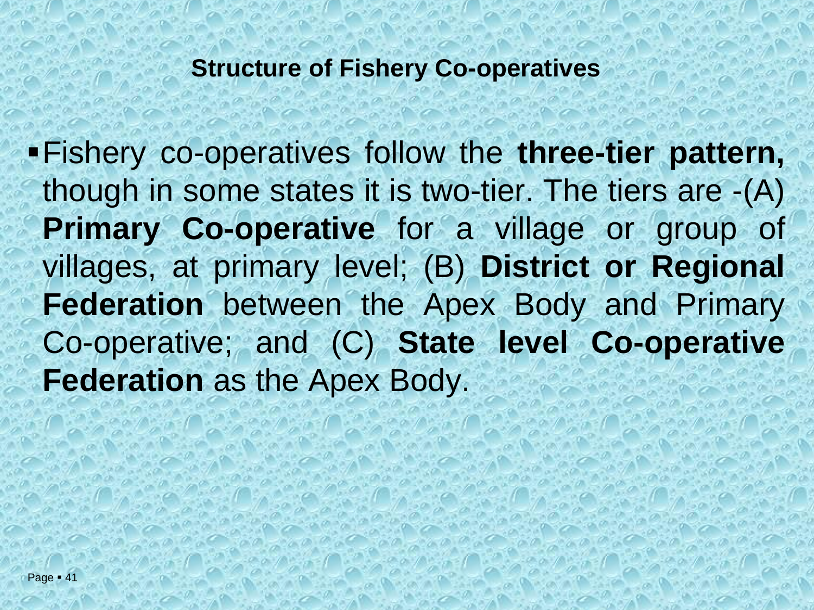▪Fishery co-operatives follow the **three-tier pattern,** though in some states it is two-tier. The tiers are -(A) **Primary Co-operative** for a village or group of villages, at primary level; (B) **District or Regional Federation** between the Apex Body and Primary Co-operative; and (C) **State level Co-operative Federation** as the Apex Body.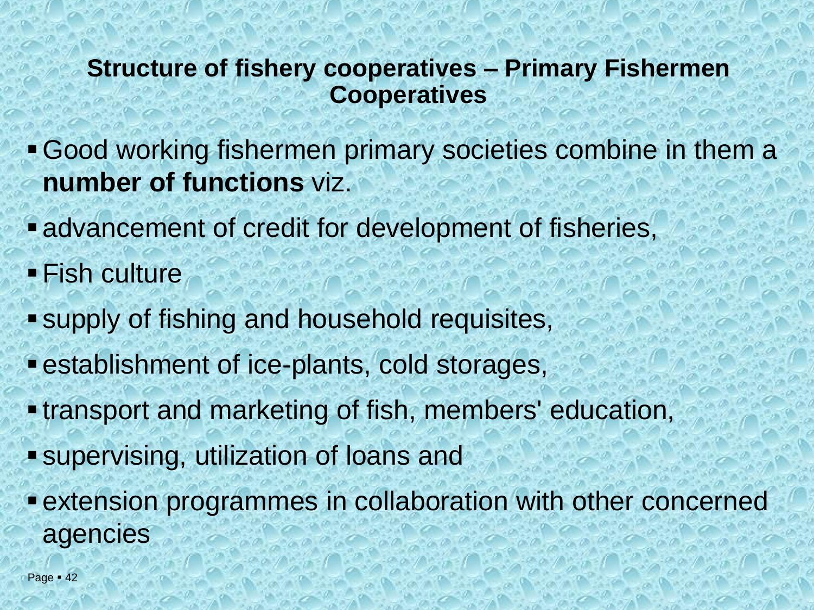### **Structure of fishery cooperatives – Primary Fishermen Cooperatives**

- ▪Good working fishermen primary societies combine in them a **number of functions** viz.
- **Example 2** advancement of credit for development of fisheries,
- **Fish culture**
- supply of fishing and household requisites,
- **Example 1** establishment of ice-plants, cold storages,
- **. transport and marketing of fish, members' education,**
- supervising, utilization of loans and
- **Extension programmes in collaboration with other concerned** agencies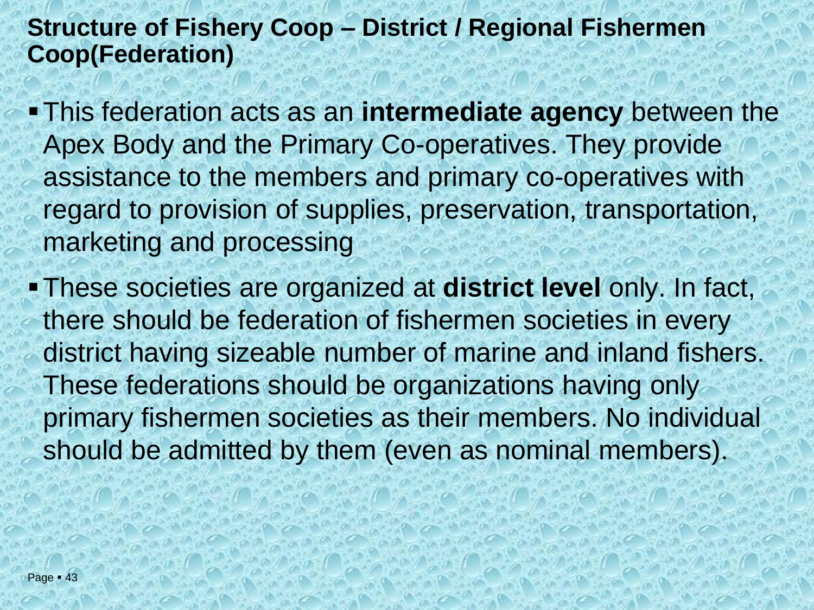### **Structure of Fishery Coop – District / Regional Fishermen Coop(Federation)**

- **. This federation acts as an intermediate agency** between the Apex Body and the Primary Co-operatives. They provide assistance to the members and primary co-operatives with regard to provision of supplies, preservation, transportation, marketing and processing
- ▪These societies are organized at **district level** only. In fact, there should be federation of fishermen societies in every district having sizeable number of marine and inland fishers. These federations should be organizations having only primary fishermen societies as their members. No individual should be admitted by them (even as nominal members).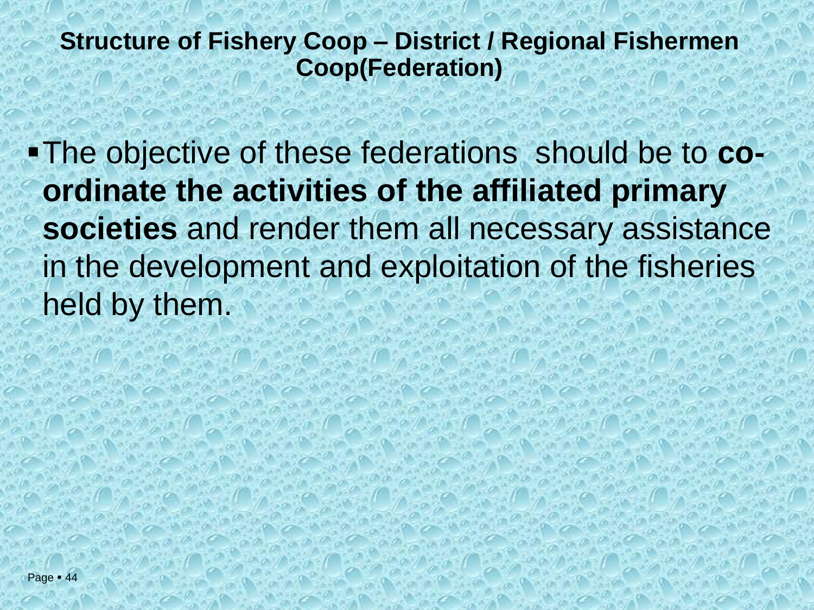### **Structure of Fishery Coop – District / Regional Fishermen Coop(Federation)**

▪The objective of these federations should be to **coordinate the activities of the affiliated primary societies** and render them all necessary assistance in the development and exploitation of the fisheries held by them.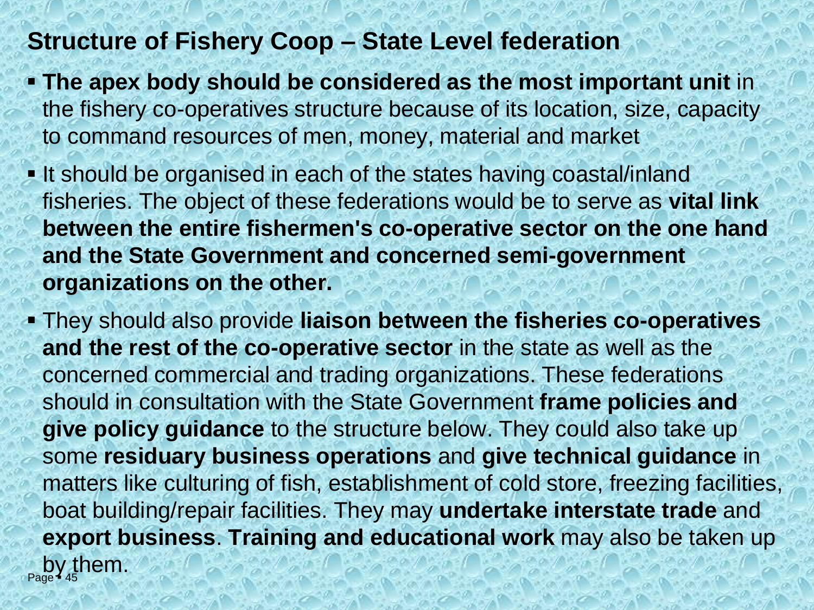#### **Structure of Fishery Coop – State Level federation**

- **The apex body should be considered as the most important unit** in the fishery co-operatives structure because of its location, size, capacity to command resources of men, money, material and market
- **.** It should be organised in each of the states having coastal/inland fisheries. The object of these federations would be to serve as **vital link between the entire fishermen's co-operative sector on the one hand and the State Government and concerned semi-government organizations on the other.**
- $\frac{1}{2}$ by them. ▪ They should also provide **liaison between the fisheries co-operatives and the rest of the co-operative sector** in the state as well as the concerned commercial and trading organizations. These federations should in consultation with the State Government **frame policies and give policy guidance** to the structure below. They could also take up some **residuary business operations** and **give technical guidance** in matters like culturing of fish, establishment of cold store, freezing facilities, boat building/repair facilities. They may **undertake interstate trade** and **export business**. **Training and educational work** may also be taken up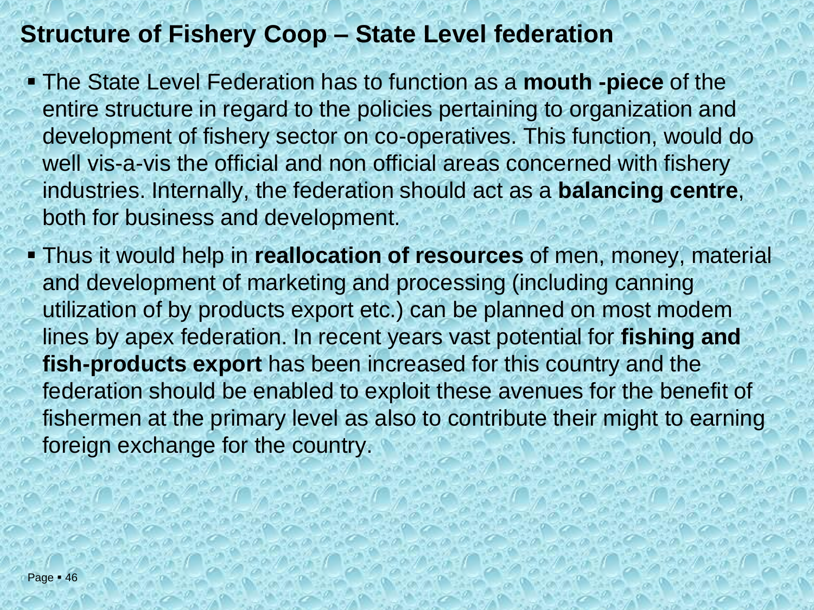### **Structure of Fishery Coop – State Level federation**

- The State Level Federation has to function as a **mouth -piece** of the entire structure in regard to the policies pertaining to organization and development of fishery sector on co-operatives. This function, would do well vis-a-vis the official and non official areas concerned with fishery industries. Internally, the federation should act as a **balancing centre**, both for business and development.
- **Thus it would help in reallocation of resources** of men, money, material and development of marketing and processing (including canning utilization of by products export etc.) can be planned on most modem lines by apex federation. In recent years vast potential for **fishing and fish-products export** has been increased for this country and the federation should be enabled to exploit these avenues for the benefit of fishermen at the primary level as also to contribute their might to earning foreign exchange for the country.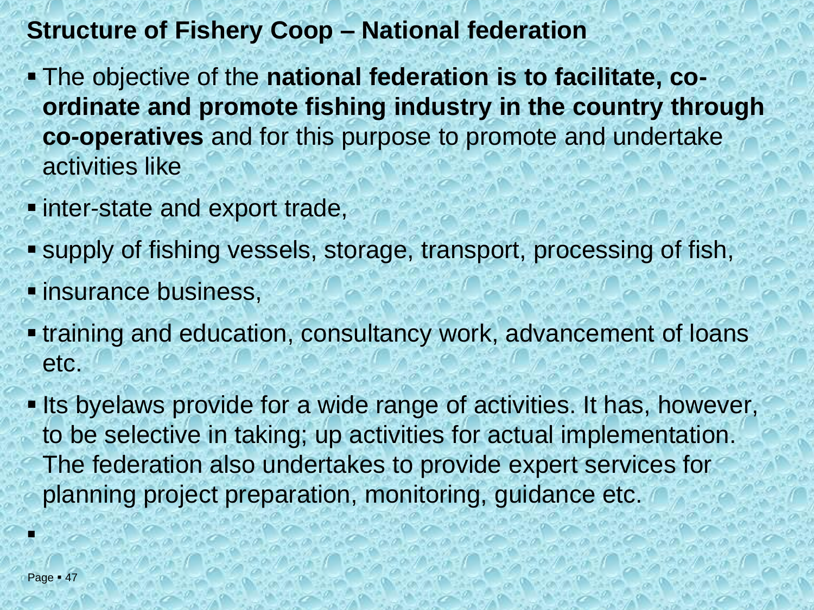## **Structure of Fishery Coop – National federation**

- The objective of the **national federation is to facilitate, coordinate and promote fishing industry in the country through co-operatives** and for this purpose to promote and undertake activities like
- **. inter-state and export trade,**
- supply of fishing vessels, storage, transport, processing of fish,
- *E* insurance business,
- **.** training and education, consultancy work, advancement of loans etc.
- . Its byelaws provide for a wide range of activities. It has, however, to be selective in taking; up activities for actual implementation. The federation also undertakes to provide expert services for planning project preparation, monitoring, guidance etc.

▪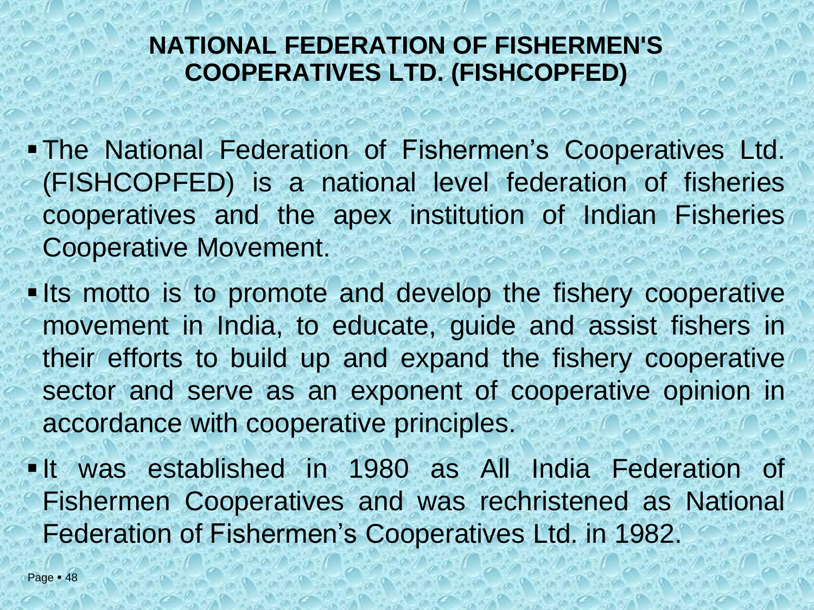#### **NATIONAL FEDERATION OF FISHERMEN'S COOPERATIVES LTD. (FISHCOPFED)**

- ▪The National Federation of Fishermen's Cooperatives Ltd. (FISHCOPFED) is a national level federation of fisheries cooperatives and the apex institution of Indian Fisheries Cooperative Movement.
- **. Its motto is to promote and develop the fishery cooperative** movement in India, to educate, guide and assist fishers in their efforts to build up and expand the fishery cooperative sector and serve as an exponent of cooperative opinion in accordance with cooperative principles.
- **. It was established in 1980 as All India Federation of** Fishermen Cooperatives and was rechristened as National Federation of Fishermen's Cooperatives Ltd. in 1982.